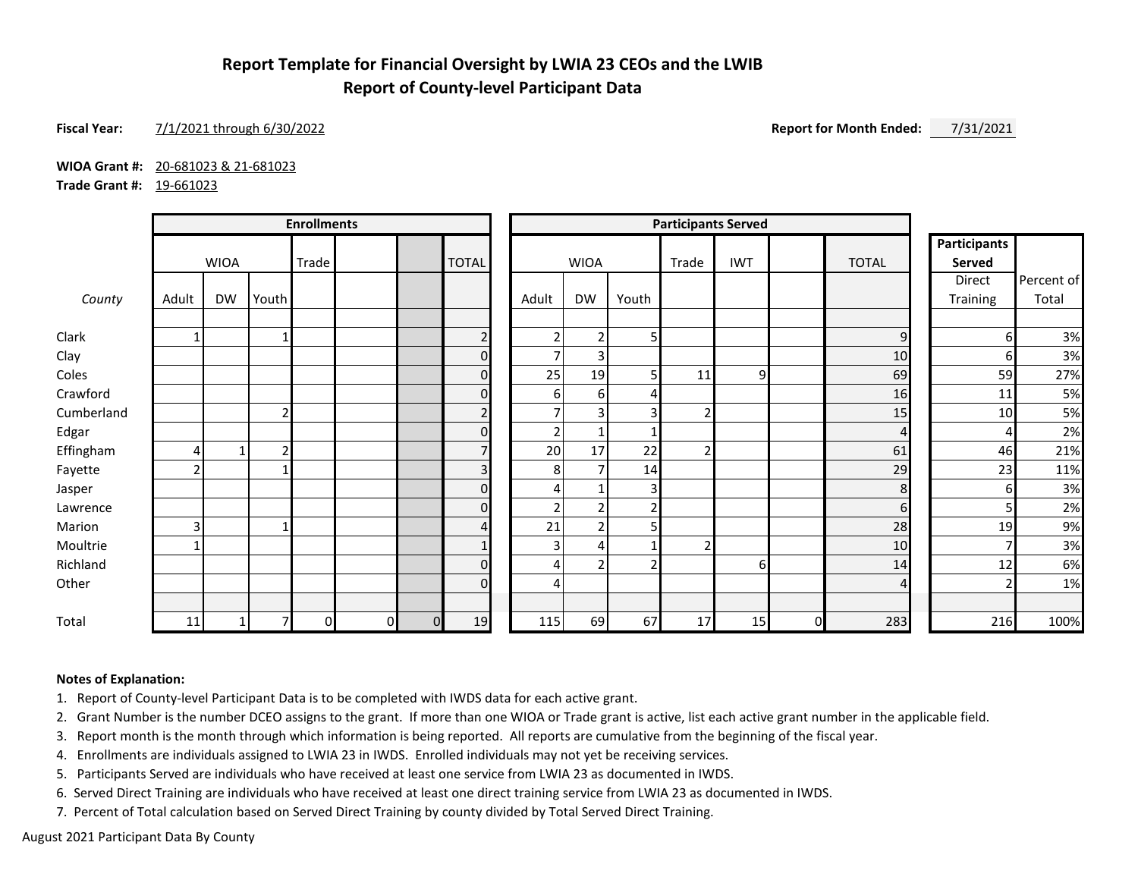# **Report Template for Financial Oversight by LWIA 23 CEOs and the LWIB Report of County-level Participant Data**

## **Fiscal Year:** 7/1/2021 through 6/30/2022 **Report for Month Ended:** 7/31/2021

**WIOA Grant #:** 20-681023 & 21-681023

**Trade Grant #:** 19-661023

|            | <b>Enrollments</b> |              |               |  |              | <b>Participants Served</b> |                |                          |                            |       |                               |    |          |                |          |            |
|------------|--------------------|--------------|---------------|--|--------------|----------------------------|----------------|--------------------------|----------------------------|-------|-------------------------------|----|----------|----------------|----------|------------|
|            | <b>WIOA</b>        |              | Trade         |  | <b>TOTAL</b> | <b>WIOA</b>                |                | Trade                    | <b>IWT</b><br><b>TOTAL</b> |       | <b>Participants</b><br>Served |    |          |                |          |            |
|            |                    |              |               |  |              |                            |                |                          |                            |       |                               |    |          |                | Direct   | Percent of |
| County     | Adult              | <b>DW</b>    | Youth         |  |              |                            |                | Adult                    | <b>DW</b>                  | Youth |                               |    |          |                | Training | Total      |
| Clark      |                    |              |               |  |              |                            | $\overline{2}$ | $\overline{2}$           | $\overline{2}$             | 5     |                               |    |          | $\mathsf 9$    | 6        | 3%         |
| Clay       |                    |              |               |  |              |                            | $\Omega$       | $\overline{7}$           | $\overline{3}$             |       |                               |    |          | 10             | h        | 3%         |
| Coles      |                    |              |               |  |              |                            | $\Omega$       | 25                       | 19                         | 5     | 11                            | 9  |          | 69             | 59       | 27%        |
| Crawford   |                    |              |               |  |              |                            | $\mathbf 0$    | 6                        | $6 \mid$                   | 4     |                               |    |          | 16             | 11       | 5%         |
| Cumberland |                    |              |               |  |              |                            | $\overline{c}$ | $\overline{\phantom{a}}$ | 3 <sup>1</sup>             | 3     |                               |    |          | 15             | 10       | 5%         |
| Edgar      |                    |              |               |  |              |                            | $\Omega$       | 2 <sub>1</sub>           | $\mathbf{1}$               |       |                               |    |          | 4              |          | 2%         |
| Effingham  |                    | $\mathbf{1}$ | $\mathcal{P}$ |  |              |                            | $\overline{7}$ | 20                       | 17                         | 22    |                               |    |          | 61             | 46       | 21%        |
| Fayette    | n                  |              |               |  |              |                            | 3              | 8                        | $\overline{7}$             | 14    |                               |    |          | 29             | 23       | 11%        |
| Jasper     |                    |              |               |  |              |                            | $\Omega$       | 4                        |                            | 3     |                               |    |          | 8              | 6        | 3%         |
| Lawrence   |                    |              |               |  |              |                            | $\Omega$       | $\overline{2}$           | $\overline{2}$             | 2     |                               |    |          | 6              |          | 2%         |
| Marion     | 3                  |              |               |  |              |                            | 4              | 21                       | $\overline{2}$             | 51    |                               |    |          | 28             | 19       | 9%         |
| Moultrie   |                    |              |               |  |              |                            | $\mathbf{1}$   | 3 <sup>1</sup>           | 4                          |       |                               |    |          | 10             |          | 3%         |
| Richland   |                    |              |               |  |              |                            | $\Omega$       | $\overline{4}$           | $\overline{2}$             | 2     |                               | 61 |          | 14             | 12       | 6%         |
| Other      |                    |              |               |  |              |                            | $\Omega$       | 4                        |                            |       |                               |    |          | $\overline{4}$ |          | 1%         |
| Total      | 11                 | 1            |               |  | $\Omega$     | $\Omega$                   | 19             | 115                      | 69                         | 67    | 17                            | 15 | $\Omega$ | 283            | 216      | 100%       |

### **Notes of Explanation:**

1. Report of County-level Participant Data is to be completed with IWDS data for each active grant.

2. Grant Number is the number DCEO assigns to the grant. If more than one WIOA or Trade grant is active, list each active grant number in the applicable field.

3. Report month is the month through which information is being reported. All reports are cumulative from the beginning of the fiscal year.

4. Enrollments are individuals assigned to LWIA 23 in IWDS. Enrolled individuals may not yet be receiving services.

5. Participants Served are individuals who have received at least one service from LWIA 23 as documented in IWDS.

6. Served Direct Training are individuals who have received at least one direct training service from LWIA 23 as documented in IWDS.

7. Percent of Total calculation based on Served Direct Training by county divided by Total Served Direct Training.

August 2021 Participant Data By County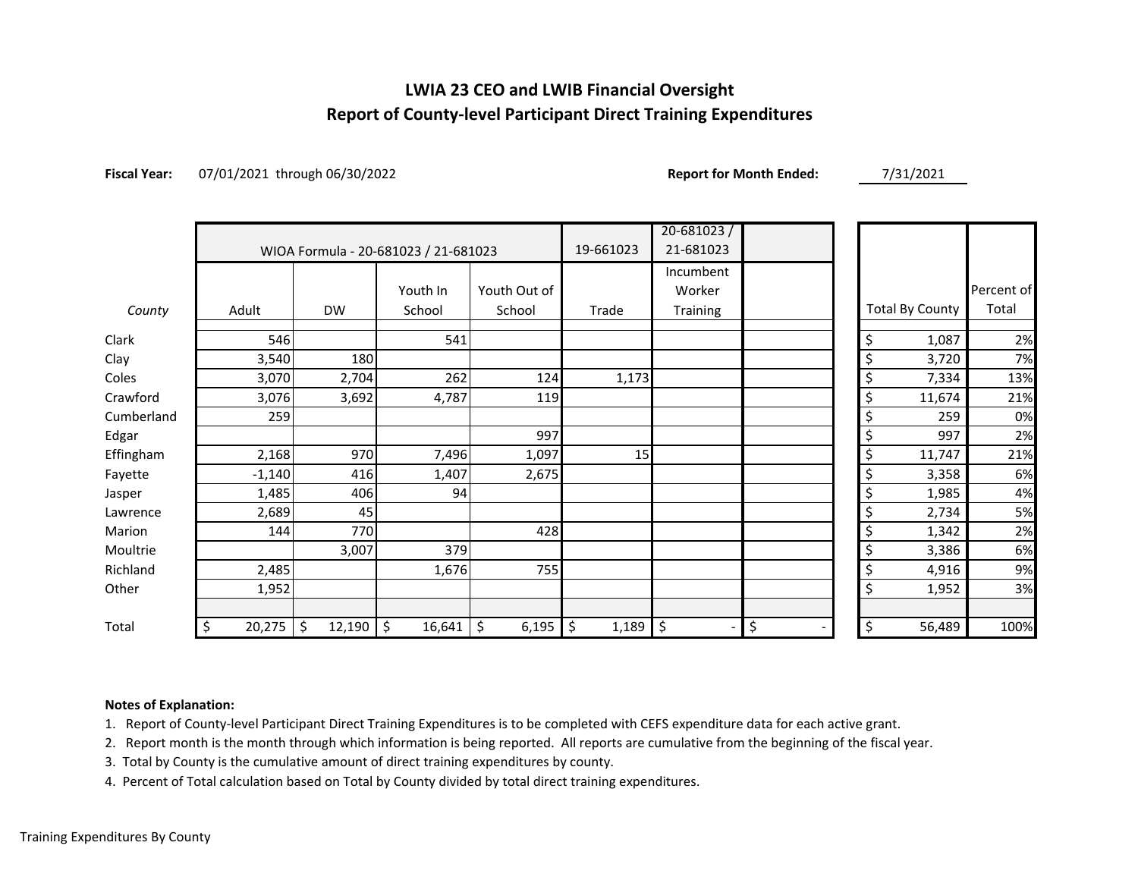# **LWIA 23 CEO and LWIB Financial Oversight Report of County-level Participant Direct Training Expenditures**

**Fiscal Year:** 07/01/2021 through 06/30/2022 **Report for Month Ended:** 7/31/2021

|            |              |              |                                      |              |             | $20 - 681023$ |          |                        |            |
|------------|--------------|--------------|--------------------------------------|--------------|-------------|---------------|----------|------------------------|------------|
|            |              |              | WIOA Formula - 20-681023 / 21-681023 |              | 19-661023   | 21-681023     |          |                        |            |
|            |              |              |                                      |              |             | Incumbent     |          |                        |            |
|            |              |              | Youth In                             | Youth Out of |             | Worker        |          |                        | Percent of |
| County     | Adult        | <b>DW</b>    | School                               | School       | Trade       | Training      |          | <b>Total By County</b> | Total      |
| Clark      | 546          |              | 541                                  |              |             |               | \$       | 1,087                  | 2%         |
| Clay       | 3,540        | 180          |                                      |              |             |               | \$       | 3,720                  | 7%         |
| Coles      | 3,070        | 2,704        | 262                                  | 124          | 1,173       |               | \$       | 7,334                  | 13%        |
| Crawford   | 3,076        | 3,692        | 4,787                                | 119          |             |               | \$       | 11,674                 | 21%        |
| Cumberland | 259          |              |                                      |              |             |               | \$       | 259                    | 0%         |
| Edgar      |              |              |                                      | 997          |             |               | \$       | 997                    | 2%         |
| Effingham  | 2,168        | 970          | 7,496                                | 1,097        | 15          |               | \$       | 11,747                 | 21%        |
| Fayette    | $-1,140$     | 416          | 1,407                                | 2,675        |             |               | \$       | 3,358                  | 6%         |
| Jasper     | 1,485        | 406          | 94                                   |              |             |               | \$       | 1,985                  | 4%         |
| Lawrence   | 2,689        | 45           |                                      |              |             |               | \$       | 2,734                  | 5%         |
| Marion     | 144          | 770          |                                      | 428          |             |               | \$       | 1,342                  | 2%         |
| Moultrie   |              | 3,007        | 379                                  |              |             |               | \$       | 3,386                  | 6%         |
| Richland   | 2,485        |              | 1,676                                | 755          |             |               | \$       | 4,916                  | 9%         |
| Other      | 1,952        |              |                                      |              |             |               | \$       | 1,952                  | 3%         |
|            |              |              |                                      |              |             |               |          |                        |            |
| Total      | \$<br>20,275 | \$<br>12,190 | \$ ا<br>16,641                       | \$<br>6,195  | \$<br>1,189 | \$            | \$<br>\$ | 56,489                 | 100%       |

## **Notes of Explanation:**

1. Report of County-level Participant Direct Training Expenditures is to be completed with CEFS expenditure data for each active grant.

2. Report month is the month through which information is being reported. All reports are cumulative from the beginning of the fiscal year.

3. Total by County is the cumulative amount of direct training expenditures by county.

4. Percent of Total calculation based on Total by County divided by total direct training expenditures.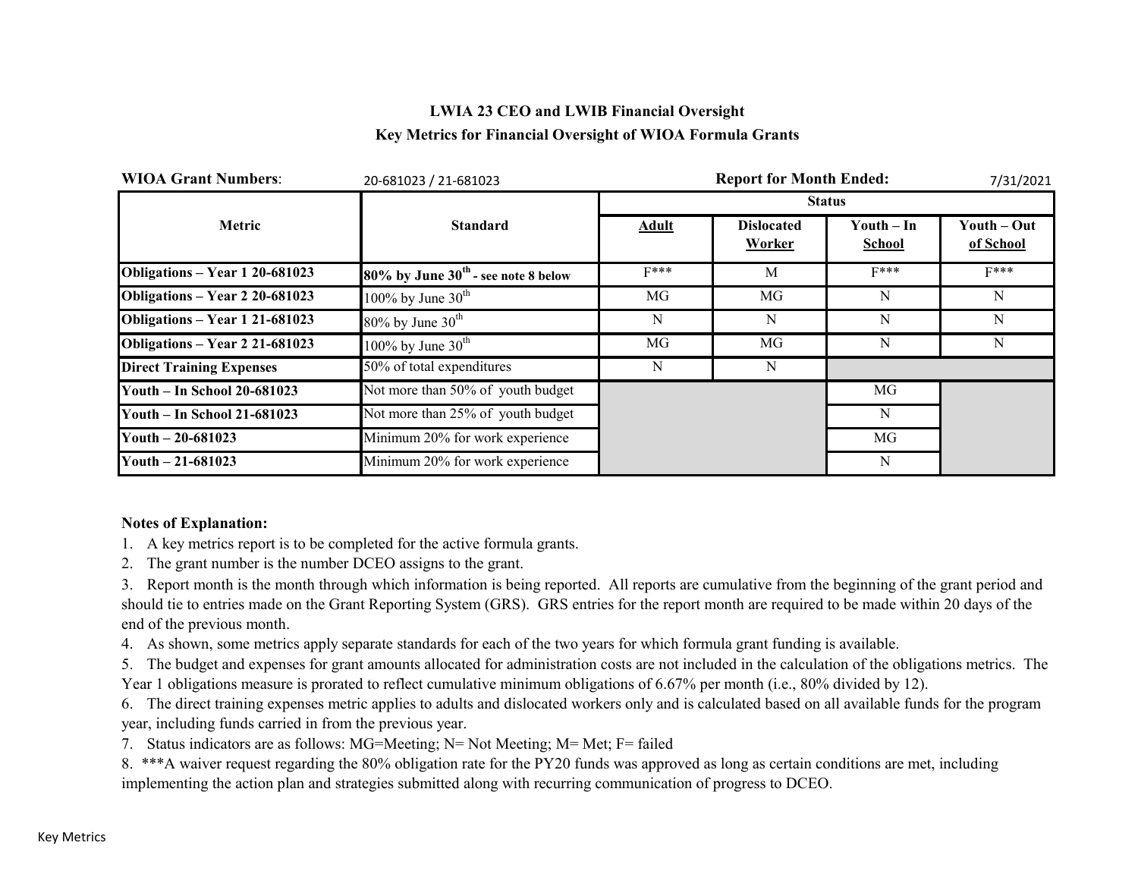# **LWIA 23 CEO and LWIB Financial Oversight Key Metrics for Financial Oversight of WIOA Formula Grants**

| <b>WIOA Grant Numbers:</b>      | 20-681023 / 21-681023                    |              | 7/31/2021                   |                               |                          |
|---------------------------------|------------------------------------------|--------------|-----------------------------|-------------------------------|--------------------------|
|                                 |                                          |              |                             | <b>Status</b>                 |                          |
| Metric                          | <b>Standard</b>                          | <b>Adult</b> | <b>Dislocated</b><br>Worker | Youth $-$ In<br><b>School</b> | Youth – Out<br>of School |
| Obligations - Year 1 20-681023  | $80\%$ by June $30th$ - see note 8 below | $F***$       | M                           | $F***$                        | $F***$                   |
| Obligations - Year 2 20-681023  | 100% by June $30^{\text{th}}$            | MG           | MG                          | N                             | N                        |
| Obligations - Year 1 21-681023  | $80\%$ by June $30th$                    | N            | N                           | N                             | N                        |
| Obligations - Year 2 21-681023  | 100% by June $30th$                      | MG           | MG                          | N                             | N                        |
| <b>Direct Training Expenses</b> | 50% of total expenditures                | N            | N                           |                               |                          |
| Youth - In School 20-681023     | Not more than 50% of youth budget        |              |                             | MG                            |                          |
| Youth - In School 21-681023     | Not more than 25% of youth budget        |              |                             | N                             |                          |
| Youth $-20-681023$              | Minimum 20% for work experience          |              |                             | MG                            |                          |
| Youth $-21-681023$              | Minimum 20% for work experience          |              |                             | N                             |                          |

## **Notes of Explanation:**

- 1. A key metrics report is to be completed for the active formula grants.
- 2. The grant number is the number DCEO assigns to the grant.

3. Report month is the month through which information is being reported. All reports are cumulative from the beginning of the grant period and should tie to entries made on the Grant Reporting System (GRS). GRS entries for the report month are required to be made within 20 days of the end of the previous month.

4. As shown, some metrics apply separate standards for each of the two years for which formula grant funding is available.

5. The budget and expenses for grant amounts allocated for administration costs are not included in the calculation of the obligations metrics. The Year 1 obligations measure is prorated to reflect cumulative minimum obligations of 6.67% per month (i.e., 80% divided by 12).

6. The direct training expenses metric applies to adults and dislocated workers only and is calculated based on all available funds for the program year, including funds carried in from the previous year.

7. Status indicators are as follows: MG=Meeting; N= Not Meeting; M= Met; F= failed

8. \*\*\*A waiver request regarding the 80% obligation rate for the PY20 funds was approved as long as certain conditions are met, including implementing the action plan and strategies submitted along with recurring communication of progress to DCEO.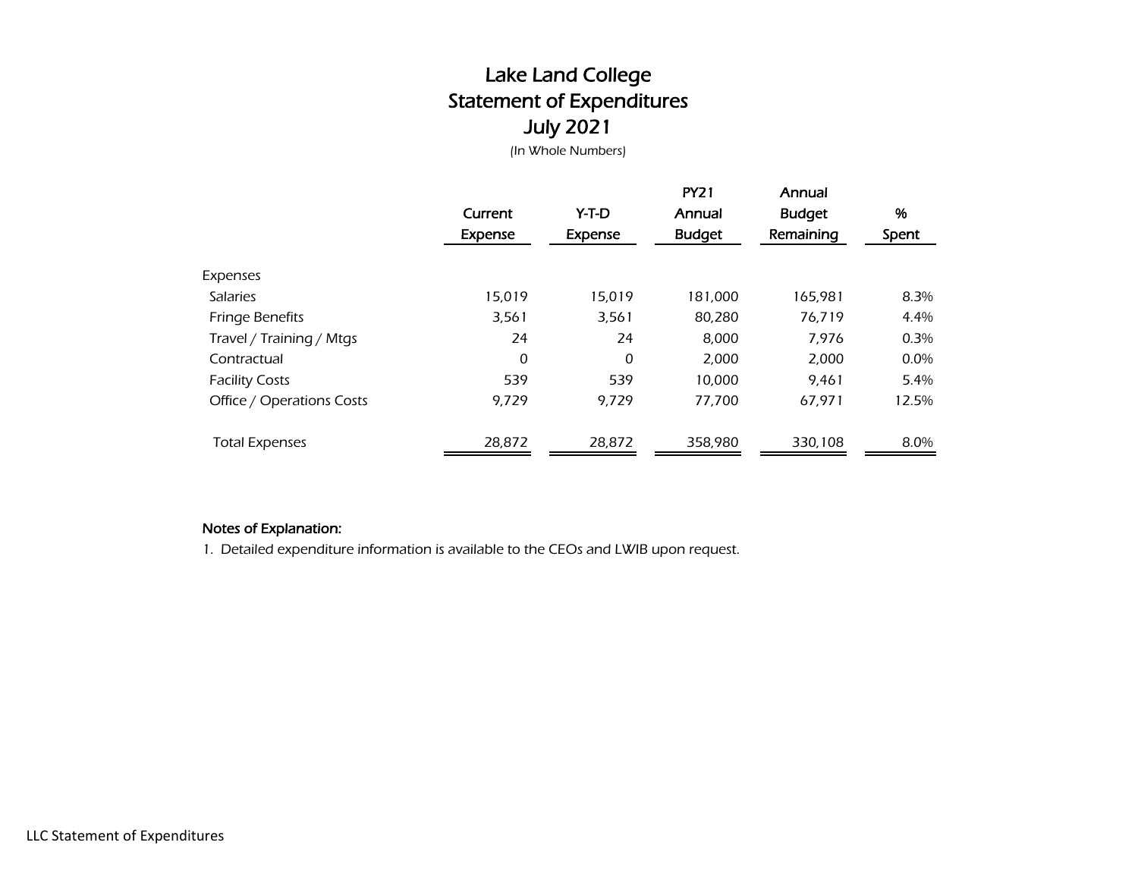# Lake Land College Statement of Expenditures July 2021

(In Whole Numbers)

|                           | Current        | Y-T-D          | <b>PY21</b><br>Annual | Annual<br><b>Budget</b> | %       |
|---------------------------|----------------|----------------|-----------------------|-------------------------|---------|
|                           | <b>Expense</b> | <b>Expense</b> | <b>Budget</b>         | Remaining               | Spent   |
| Expenses                  |                |                |                       |                         |         |
| <b>Salaries</b>           | 15,019         | 15,019         | 181,000               | 165,981                 | 8.3%    |
| <b>Fringe Benefits</b>    | 3,561          | 3,561          | 80,280                | 76,719                  | 4.4%    |
| Travel / Training / Mtgs  | 24             | 24             | 8,000                 | 7,976                   | 0.3%    |
| Contractual               | 0              | 0              | 2,000                 | 2,000                   | $0.0\%$ |
| <b>Facility Costs</b>     | 539            | 539            | 10,000                | 9.461                   | 5.4%    |
| Office / Operations Costs | 9,729          | 9.729          | 77,700                | 67,971                  | 12.5%   |
| <b>Total Expenses</b>     | 28,872         | 28,872         | 358.980               | 330,108                 | 8.0%    |

## Notes of Explanation:

1. Detailed expenditure information is available to the CEOs and LWIB upon request.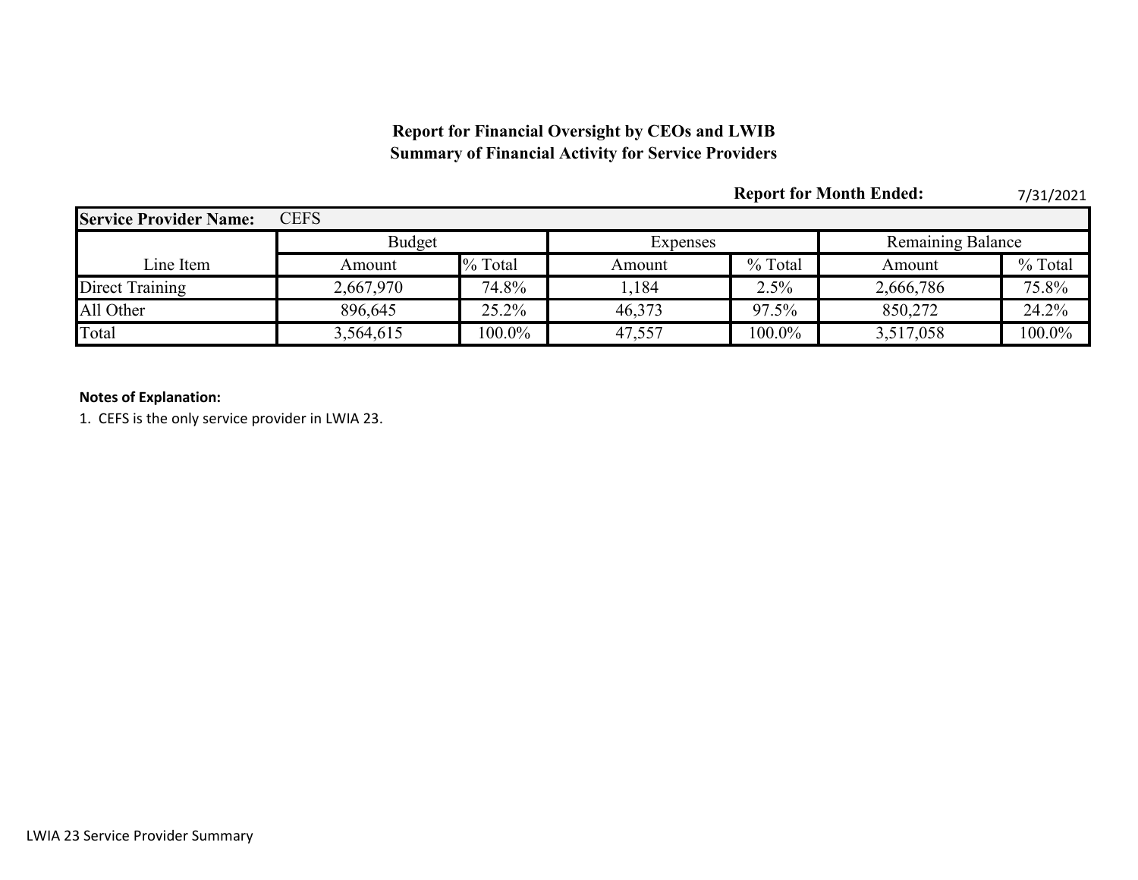# **Report for Financial Oversight by CEOs and LWIB Summary of Financial Activity for Service Providers**

|                               |               |           |          |         | <b>Report for Month Ended:</b> | 7/31/2021 |  |
|-------------------------------|---------------|-----------|----------|---------|--------------------------------|-----------|--|
| <b>Service Provider Name:</b> | <b>CEFS</b>   |           |          |         |                                |           |  |
|                               | <b>Budget</b> |           | Expenses |         | <b>Remaining Balance</b>       |           |  |
| Line Item                     | Amount        | % Total   | Amount   | % Total | Amount                         | % Total   |  |
| Direct Training               | 2,667,970     | 74.8%     | ,184     | 2.5%    | 2,666,786                      | 75.8%     |  |
| All Other                     | 896,645       | 25.2%     | 46,373   | 97.5%   | 850,272                        | 24.2%     |  |
| Total                         | 3,564,615     | $100.0\%$ | 47,557   | 100.0%  | 3,517,058                      | 100.0%    |  |

## **Notes of Explanation:**

1. CEFS is the only service provider in LWIA 23.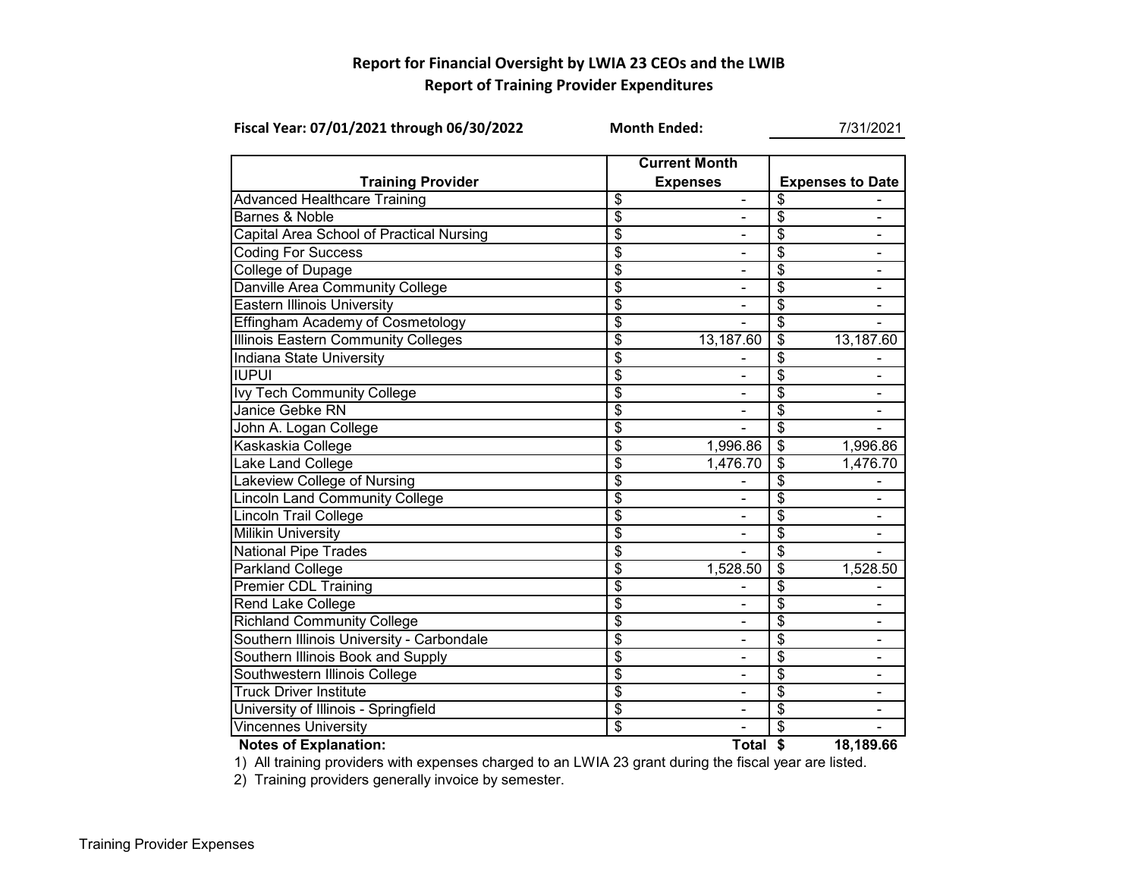## **Report for Financial Oversight by LWIA 23 CEOs and the LWIB Report of Training Provider Expenditures**

| Fiscal Year: 07/01/2021 through 06/30/2022 | <b>Month Ended:</b>                     | 7/31/2021                    |                                  |                          |  |  |
|--------------------------------------------|-----------------------------------------|------------------------------|----------------------------------|--------------------------|--|--|
| <b>Training Provider</b>                   | <b>Current Month</b><br><b>Expenses</b> |                              |                                  | <b>Expenses to Date</b>  |  |  |
| <b>Advanced Healthcare Training</b>        | \$                                      | $\overline{\phantom{0}}$     | \$                               |                          |  |  |
| <b>Barnes &amp; Noble</b>                  | \$                                      | $\blacksquare$               | \$                               | $\blacksquare$           |  |  |
| Capital Area School of Practical Nursing   | \$                                      |                              | \$                               | $\overline{\phantom{a}}$ |  |  |
| <b>Coding For Success</b>                  | \$                                      |                              | \$                               | $\blacksquare$           |  |  |
| <b>College of Dupage</b>                   | \$                                      |                              | \$                               |                          |  |  |
| Danville Area Community College            | \$                                      |                              | \$                               |                          |  |  |
| <b>Eastern Illinois University</b>         | \$                                      |                              | \$                               |                          |  |  |
| <b>Effingham Academy of Cosmetology</b>    | \$                                      |                              | \$                               |                          |  |  |
| Illinois Eastern Community Colleges        | \$                                      | 13,187.60                    | \$                               | 13,187.60                |  |  |
| Indiana State University                   | \$                                      |                              | \$                               |                          |  |  |
| <b>IUPUI</b>                               | \$                                      |                              | \$                               |                          |  |  |
| Ivy Tech Community College                 | $\overline{\$}$                         |                              | \$                               |                          |  |  |
| Janice Gebke RN                            | $\overline{\$}$                         |                              | \$                               | $\overline{\phantom{a}}$ |  |  |
| John A. Logan College                      | \$                                      |                              | \$                               |                          |  |  |
| Kaskaskia College                          | $\overline{\$}$                         | 1,996.86                     | $\overline{\$}$                  | 1,996.86                 |  |  |
| Lake Land College                          | $\overline{\$}$                         | 1,476.70                     | $\overline{\boldsymbol{\theta}}$ | 1,476.70                 |  |  |
| Lakeview College of Nursing                | $\overline{\mathcal{S}}$                |                              | \$                               |                          |  |  |
| <b>Lincoln Land Community College</b>      | $\overline{\$}$                         |                              | \$                               |                          |  |  |
| <b>Lincoln Trail College</b>               | \$                                      |                              | \$                               |                          |  |  |
| <b>Milikin University</b>                  | \$                                      |                              | \$                               |                          |  |  |
| <b>National Pipe Trades</b>                | $\overline{\$}$                         |                              | $\overline{\$}$                  |                          |  |  |
| <b>Parkland College</b>                    | $\overline{\$}$                         | 1,528.50                     | $\overline{\$}$                  | 1,528.50                 |  |  |
| <b>Premier CDL Training</b>                | $\overline{\mathcal{S}}$                |                              | \$                               |                          |  |  |
| <b>Rend Lake College</b>                   | $\overline{\$}$                         |                              | \$                               |                          |  |  |
| <b>Richland Community College</b>          | $\overline{\$}$                         | $\qquad \qquad \blacksquare$ | $\overline{\$}$                  | $\frac{1}{2}$            |  |  |
| Southern Illinois University - Carbondale  | $\overline{\$}$                         |                              | \$                               | $\blacksquare$           |  |  |
| Southern Illinois Book and Supply          | \$                                      | $\blacksquare$               | \$                               | $\blacksquare$           |  |  |
| Southwestern Illinois College              | $\overline{\boldsymbol{\mathsf{s}}}$    |                              | \$                               |                          |  |  |
| <b>Truck Driver Institute</b>              | $\overline{\$}$                         |                              | \$                               |                          |  |  |
| University of Illinois - Springfield       | $\overline{\$}$                         |                              | \$                               |                          |  |  |
| <b>Vincennes University</b>                | \$                                      |                              | \$                               |                          |  |  |
| <b>Notes of Explanation:</b>               |                                         | Total \$                     |                                  | 18,189.66                |  |  |



1) All training providers with expenses charged to an LWIA 23 grant during the fiscal year are listed.

2) Training providers generally invoice by semester.